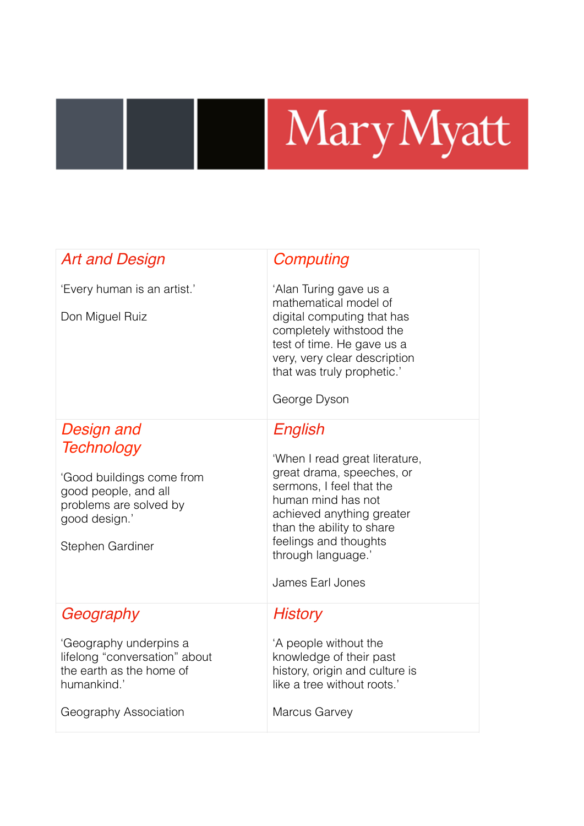## Mary Myatt

| <b>Art and Design</b>                                                                                                                               | Computing                                                                                                                                                                                                                                             |
|-----------------------------------------------------------------------------------------------------------------------------------------------------|-------------------------------------------------------------------------------------------------------------------------------------------------------------------------------------------------------------------------------------------------------|
| 'Every human is an artist.'<br>Don Miguel Ruiz                                                                                                      | 'Alan Turing gave us a<br>mathematical model of<br>digital computing that has<br>completely withstood the<br>test of time. He gave us a<br>very, very clear description<br>that was truly prophetic.'<br>George Dyson                                 |
| Design and<br><b>Technology</b><br>'Good buildings come from<br>good people, and all<br>problems are solved by<br>good design.'<br>Stephen Gardiner | English<br>'When I read great literature,<br>great drama, speeches, or<br>sermons, I feel that the<br>human mind has not<br>achieved anything greater<br>than the ability to share<br>feelings and thoughts<br>through language.'<br>James Earl Jones |
| Geography<br>'Geography underpins a<br>lifelong "conversation" about<br>the earth as the home of<br>humankind.'<br>Geography Association            | History<br>'A people without the<br>knowledge of their past<br>history, origin and culture is<br>like a tree without roots.'<br><b>Marcus Garvey</b>                                                                                                  |

I